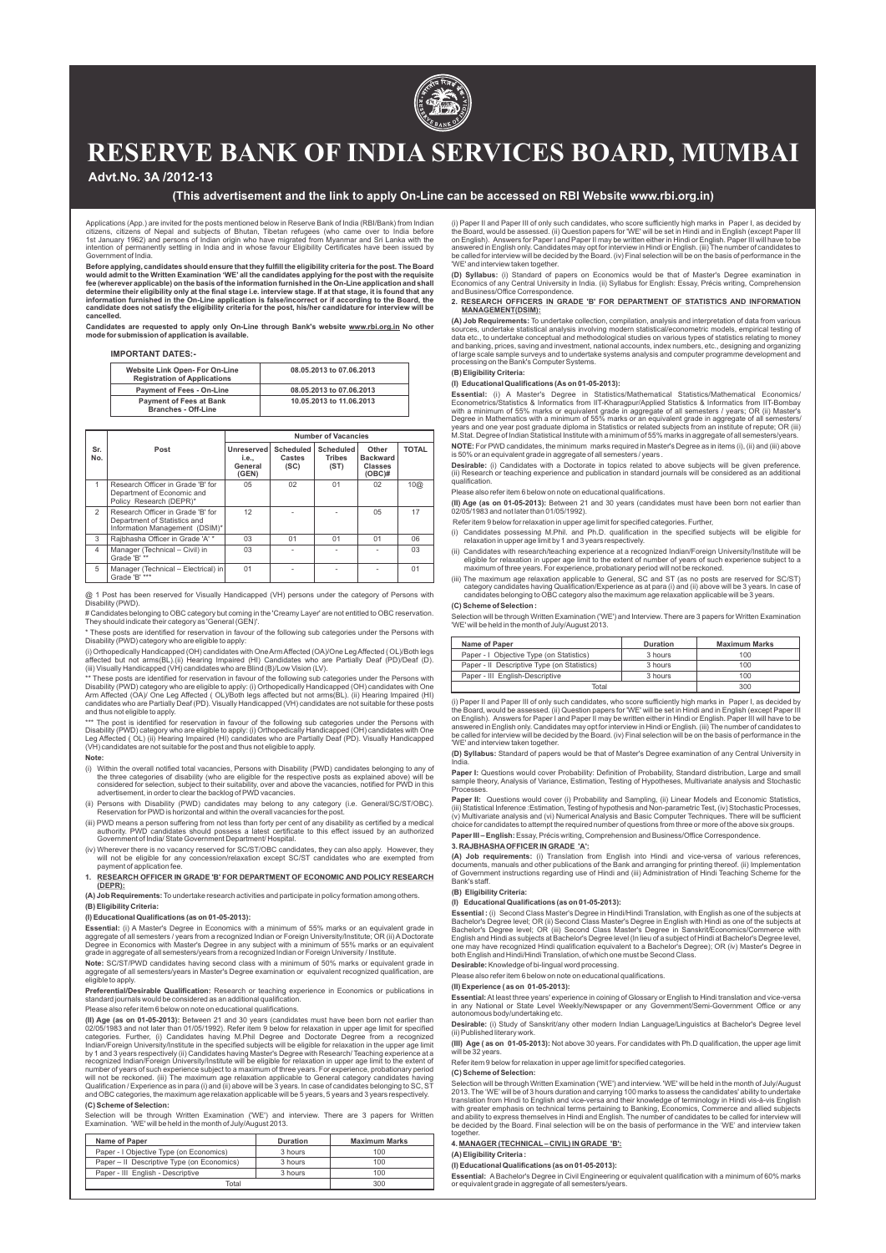# **(This advertisement and the link to apply On-Line can be accessed on RBI Website www.rbi.org.in)**

# **Advt.No. 3A /2012-13**

Applications (App.) are invited for the posts mentioned below in Reserve Bank of India (RBI/Bank) from Indian citizens, citizens of Nepal and subjects of Bhutan, Tibetan refugees (who came over to India before 1st January 1962) and persons of Indian origin who have migrated from Myanmar and Sri Lanka with the intention of permanently settling in India and in whose favour Eligibility Certificates have been issued by Government of India.

Before applying, candidates should ensure that they fulfill the eligibility criteria for the post. The Board<br>would admit to the Written Examination 'WE' all the candidates applying for the post with the requisite **fee (wherever applicable) on the basis of the information furnished in the On-Line application and shall**  determine their eligibility only at the final stage i.e. interview stage. If at that stage, it is found that any<br>information furnished in the On-Line application is false/incorrect or if according to the Board, the **candidate does not satisfy the eligibility criteria for the post, his/her candidature for interview will be cancelled.** 

Candidates are requested to apply only On-Line through Bank's website <u>www.rbi.org.in</u> No other<br>mode*f*or submission of application is available.

## **IMPORTANT DATES:-**

| <b>Website Link Open- For On-Line</b><br><b>Registration of Applications</b> | 08.05.2013 to 07.06.2013 |
|------------------------------------------------------------------------------|--------------------------|
| <b>Payment of Fees - On-Line</b>                                             | 08.05.2013 to 07.06.2013 |
| <b>Payment of Fees at Bank</b><br><b>Branches - Off-Line</b>                 | 10.05.2013 to 11.06.2013 |

\*\* These posts are identified for reservation in favour of the following sub categories under the Persons with Disability (PWD) category who are eligible to apply: (i) Orthopedically Handicapped (OH) candidates with One<br>Arm Affected (OA)/ One Leg Affected ( OL)/Both legs affected but not arms(BL). (ii) Hearing Impaired (HI)<br>candida and thus not eligible to apply.

|                |                                                                                                     | <b>Number of Vacancies</b>              |                             |                                    |                                                         |              |
|----------------|-----------------------------------------------------------------------------------------------------|-----------------------------------------|-----------------------------|------------------------------------|---------------------------------------------------------|--------------|
| Sr.<br>No.     | Post                                                                                                | Unreserved<br>i.e.,<br>General<br>(GEN) | Scheduled<br>Castes<br>(SC) | Scheduled<br><b>Tribes</b><br>(ST) | Other<br><b>Backward</b><br><b>Classes</b><br>$(OBC)$ # | <b>TOTAL</b> |
|                | Research Officer in Grade 'B' for<br>Department of Economic and<br>Policy Research (DEPR)*          | 05                                      | 02                          | 01                                 | 02                                                      | 10@          |
| $\mathfrak{D}$ | Research Officer in Grade 'B' for<br>Department of Statistics and<br>Information Management (DSIM)* | 12                                      |                             |                                    | 05                                                      | 17           |
| 3              | Rajbhasha Officer in Grade 'A' *                                                                    | 03                                      | 01                          | 01                                 | 01                                                      | 06           |
| $\overline{4}$ | Manager (Technical - Civil) in<br>Grade 'B' **                                                      | 03                                      |                             |                                    |                                                         | 03           |
| 5              | Manager (Technical - Electrical) in<br>Grade 'B' ***                                                | 01                                      |                             |                                    |                                                         | 01           |

\*\*\* The post is identified for reservation in favour of the following sub categories under the Persons with Disability (PWD) category who are eligible to apply: (i) Orthopedically Handicapped (OH) candidates with One Leg Affected ( OL) (ii) Hearing Impaired (HI) candidates who are Partially Deaf (PD). Visually Handicapped (VH) candidates are not suitable for the post and thus not eligible to apply.

@ 1 Post has been reserved for Visually Handicapped (VH) persons under the category of Persons with Disability (PWD).

# Candidates belonging to OBC category but coming in the 'Creamy Layer' are not entitled to OBC reservation. They should indicate their category as 'General (GEN)'.

\* These posts are identified for reservation in favour of the following sub categories under the Persons with Disability (PWD) category who are eligible to apply:

**Essential:** (i) A Master's Degree in Economics with a minimum of 55% marks or an equivalent grade in aggregate of all semesters / years from a recognized Indian or Foreign University/Institute; OR (ii) A Doctorate aree in Economics with Master's Degree in any subject with a minimum of 55% marks or

(i) Orthopedically Handicapped (OH) candidates with One Arm Affected (OA)/One Leg Affected ( OL)/Both legs affected but not arms(BL).(ii) Hearing Impaired (HI) Candidates who are Partially Deaf (PD)/Deaf (D). (iii) Visually Handicapped (VH) candidates who are Blind (B)/Low Vision (LV).

#### **Note:**

- (i) Within the overall notified total vacancies, Persons with Disability (PWD) candidates belonging to any of the three categories of disability (who are eligible for the respective posts as explained above) will be considered for selection, subject to their suitability, over and above the vacancies, notified for PWD in this advertisement, in order to clear the backlog of PWD vacancies.
- (ii) Persons with Disability (PWD) candidates may belong to any category (i.e. General/SC/ST/OBC). Reservation for PWD is horizontal and within the overall vacancies for the post.
- (iii) PWD means a person suffering from not less than forty per cent of any disability as certified by a medical authority. PWD candidates should possess a latest certificate to this effect issued by an authorized Government of India/ State Government Department/ Hospital.
- (iv) Wherever there is no vacancy reserved for SC/ST/OBC candidates, they can also apply. However, they will not be eligible for any concession/relaxation except SC/ST candidates who are exempted from payment of application fee.
- **1. RESEARCH OFFICER IN GRADE 'B' FOR DEPARTMENT OF ECONOMIC AND POLICY RESEARCH (DEPR):**

**(A) Job Requirements:**To undertake research activities and participate in policy formation among others. **(B) Eligibility Criteria:** 

**Desirable:** (i) Candidates with a Doctorate in topics related to above subjects will be given preference. (ii) Research or teaching experience and publication in standard journals will be considered as an additional qualification.

# **(I) Educational Qualifications (as on 01-05-2013):**

grade in aggregate of all semesters/years from a recognized Indian or Foreign University / Institute.

**Note:** SC/ST/PWD candidates having second class with a minimum of 50% marks or equivalent grade in aggregate of all semesters/years in Master's Degree examination or equivalent recognized qualification, are eligible to apply.

Selection will be through Written Examination ('WE') and Interview. There are 3 papers for Written Examination 'WE' will be held in the month of July/August 2013.

**Preferential/Desirable Qualification:** Research or teaching experience in Economics or publications in standard journals would be considered as an additional qualification.

Please also refer item 6 below on note on educational qualifications.

**Paper II:** Questions would cover (i) Probability and Sampling, (ii) Linear Models and Economic Statistics,<br>(iii) Statistical Inference :Estimation, Testing of hypothesis and Non-parametric Test, (iv) Stochastic Processes, (v) Multivariate analysis and (vi) Numerical Analysis and Basic Computer Techniques. There will be sufficient choice for candidates to attempt the required number of questions from three or more of the above six groups.

**(II) Age (as on 01-05-2013):** Between 21 and 30 years (candidates must have been born not earlier than 02/05/1983 and not later than 01/05/1992). Refer item 9 below for relaxation in upper age limit for specified categories. Further, (i) Candidates having M.Phil Degree and Doctorate Degree from a recognized Indian/Foreign University/Institute in the specified subjects will be eligible for relaxation in the upper age limit by 1 and 3 years respectively (ii) Candidates having Master's Degree with Research/ Teaching experience at a recognized Indian/Foreign University/Institute will be eligible for relaxation in upper age limit to the extent of number of years of such experience subject to a maximum of three years. For experience, probationary period will not be reckoned. (iii) The maximum age relaxation applicable to General category candidates having Qualification / Experience as in para (i) and (ii) above will be 3 years. In case of candidates belonging to SC, ST and OBC categories, the maximum age relaxation applicable will be 5 years, 5 years and 3 years respectively.

#### **(C) Scheme of Selection:**

Selection will be through Written Examination ('WE') and interview. There are 3 papers for Written Examination. 'WE' will be held in the month of July/August 2013.

| Name of Paper                              | <b>Duration</b> | <b>Maximum Marks</b> |
|--------------------------------------------|-----------------|----------------------|
| Paper - I Objective Type (on Economics)    | 3 hours         | 100                  |
| Paper – Il Descriptive Type (on Economics) | 3 hours         | 100                  |
| Paper - III English - Descriptive          | 3 hours         | 100                  |
| Total                                      |                 | 300                  |

(i) Paper II and Paper III of only such candidates, who score sufficiently high marks in Paper I, as decided by the Board, would be assessed. (ii) Question papers for 'WE' will be set in Hindi and in English (except Paper III on English). Answers for Paper I and Paper II may be written either in Hindi or English. Paper III will have to be answered in English only. Candidates may opt for interview in Hindi or English. (iii) The number of candidates to<br>be called for interview will be decided by the Board. (iv) Final selection will be on the basis of performan 'WE' and interview taken together.

**(D) Syllabus:** (i) Standard of papers on Economics would be that of Master's Degree examination in Economics of any Central University in India. (ii) Syllabus for English: Essay, Précis writing, Comprehension and Business/Office Correspondence.

## **2. RESEARCH OFFICERS IN GRADE 'B' FOR DEPARTMENT OF STATISTICS AND INFORMATION MANAGEMENT(DSIM):**

**(A) Job Requirements:** To undertake collection, compilation, analysis and interpretation of data from various sources, undertake statistical analysis involving modern statistical/econometric models, empirical testing of data etc., to undertake conceptual and methodological studies on various types of statistics relating to money and banking, prices, saving and investment, national accounts, index numbers, etc., designing and organizing of large scale sample surveys and to undertake systems analysis and computer programme development and processing on the Bank's Computer Systems.

#### **(B) Eligibility Criteria:**

## **(I) Educational Qualifications (As on 01-05-2013):**

**Essential:** (i) A Master's Degree in Statistics/Mathematical Statistics/Mathematical Economics/ Econometrics/Statistics & Informatics from IIT-Kharagpur/Applied Statistics & Informatics from IIT-Bombay with a minimum of 55% marks or equivalent grade in aggregate of all semesters / years; OR (ii) Master's Degree in Mathematics with a minimum of 55% marks or an equivalent grade in aggregate of all semesters/ years and one year post graduate diploma in Statistics or related subjects from an institute of repute; OR (iii) M.Stat. Degree of Indian Statistical Institute with a minimum of 55% marks in aggregate of all semesters/years.

**NOTE:** For PWD candidates, the minimum marks required in Master's Degree as in items (i), (ii) and (iii) above is 50% or an equivalent grade in aggregate of all semesters / years .

Please also refer item 6 below on note on educational qualifications.

**(II) Age (as on 01-05-2013):** Between 21 and 30 years (candidates must have been born not earlier than 02/05/1983 and not later than 01/05/1992).

Refer item 9 below for relaxation in upper age limit for specified categories. Further,

- (i) Candidates possessing M.Phil. and Ph.D. qualification in the specified subjects will be eligible for relaxation in upper age limit by 1 and 3 years respectively.
- (ii) Candidates with research/teaching experience at a recognized Indian/Foreign University/Institute will be eligible for relaxation in upper age limit to the extent of number of years of such experience subject to a maximum of three years. For experience, probationary period will not be reckoned.
- (iii) The maximum age relaxation applicable to General, SC and ST (as no posts are reserved for SC/ST) category candidates having Qualification/Experience as at para (i) and (ii) above will be 3 years. In case of candidates belonging to OBC category also the maximum age relaxation applicable will be 3 years.

# **(C) Scheme of Selection :**

| Name of Paper                               | <b>Duration</b> | <b>Maximum Marks</b> |
|---------------------------------------------|-----------------|----------------------|
| Paper - I Objective Type (on Statistics)    | 3 hours         | 100                  |
| Paper - Il Descriptive Type (on Statistics) | 3 hours         | 100                  |
| Paper - III English-Descriptive             | 3 hours         | 100                  |
| Total                                       |                 | 300                  |

(i) Paper II and Paper III of only such candidates, who score sufficiently high marks in Paper I, as decided by the Board, would be assessed. (ii) Question papers for 'WE' will be set in Hindi and in English (except Paper III on English). Answers for Paper I and Paper II may be written either in Hindi or English. Paper III will have to be<br>answered in English only. Candidates may opt for interview in Hindi or English. (iii) The number of candid be called for interview will be decided by the Board. (iv) Final selection will be on the basis of performance in the 'WE' and interview taken together.

**(D) Syllabus:** Standard of papers would be that of Master's Degree examination of any Central University in India.

Paper I: Questions would cover Probability: Definition of Probability, Standard distribution, Large and small sample theory, Analysis of Variance, Estimation, Testing of Hypotheses, Multivariate analysis and Stochastic **Processes** 

**Paper III – English:**Essay, Précis writing, Comprehension and Business/Office Correspondence.

# **3. RAJBHASHAOFFICER IN GRADE 'A':**

**(A) Job requirements:** (i) Translation from English into Hindi and vice-versa of various references, documents, manuals and other publications of the Bank and arranging for printing thereof. (ii) Implementation of Government instructions regarding use of Hindi and (iii) Administration of Hindi Teaching Scheme for the Bank's staff.

# **(B) Eligibility Criteria:**

## **(I) Educational Qualifications (as on 01-05-2013):**

**Essential :** (i) Second Class Master's Degree in Hindi/Hindi Translation, with English as one of the subjects at Bachelor's Degree level; OR (ii) Second Class Master's Degree in English with Hindi as one of the subjects at Bachelor's Degree level; OR (iii) Second Class Master's Degree in Sanskrit/Economics/Commerce with English and Hindi as subjects at Bachelor's Degree level (In lieu of a subject of Hindi at Bachelor's Degree level, one may have may have recognized to a Hindi preceptoristy. OR (iv) Master's Deg both English and Hindi/Hindi Translation, of which one must be Second Class.

**Desirable:** Knowledge of bi-lingual word processing.

Please also refer item 6 below on note on educational qualifications.

**(II) Experience ( as on 01-05-2013):**

**Essential:**At least three years' experience in coining of Glossary or English to Hindi translation and vice-versa in any National or State Level Weekly/Newspaper or any Government/Semi-Government Office or any autonomous body/undertaking etc.

**Desirable:** (i) Study of Sanskrit/any other modern Indian Language/Linguistics at Bachelor's Degree level (ii) Published literary work.

**(III) Age ( as on 01-05-2013):** Not above 30 years. For candidates with Ph.D qualification, the upper age limit will be 32 years.

Refer item 9 below for relaxation in upper age limit for specified categories.

#### **(C) Scheme of Selection:**

Selection will be through Written Examination ('WE') and interview. 'WE' will be held in the month of July/August 2013. The 'WE'will be of 3 hours duration and carrying 100 marks to assess the candidates' ability to undertake translation from Hindi to English and vice-versa and their knowledge of terminology in Hindi vis-à-vis English with greater emphasis on technical terms pertaining to Banking, Economics, Commerce and allied subjects and ability to express themselves in Hindi and English. The number of candidates to be called for interview will be decided by the Board. Final selection will be on the basis of performance in the 'WE' and interview taken together.

**4. MANAGER (TECHNICAL– CIVIL) IN GRADE 'B':**

**(A) Eligibility Criteria :**

**(I) Educational Qualifications (as on 01-05-2013):**

**Essential:** ABachelor's Degree in Civil Engineering or equivalent qualification with a minimum of 60% marks or equivalent grade in aggregate of all semesters/years.



# **RESERVE BANK OF INDIA SERVICES BOARD, MUMBAI**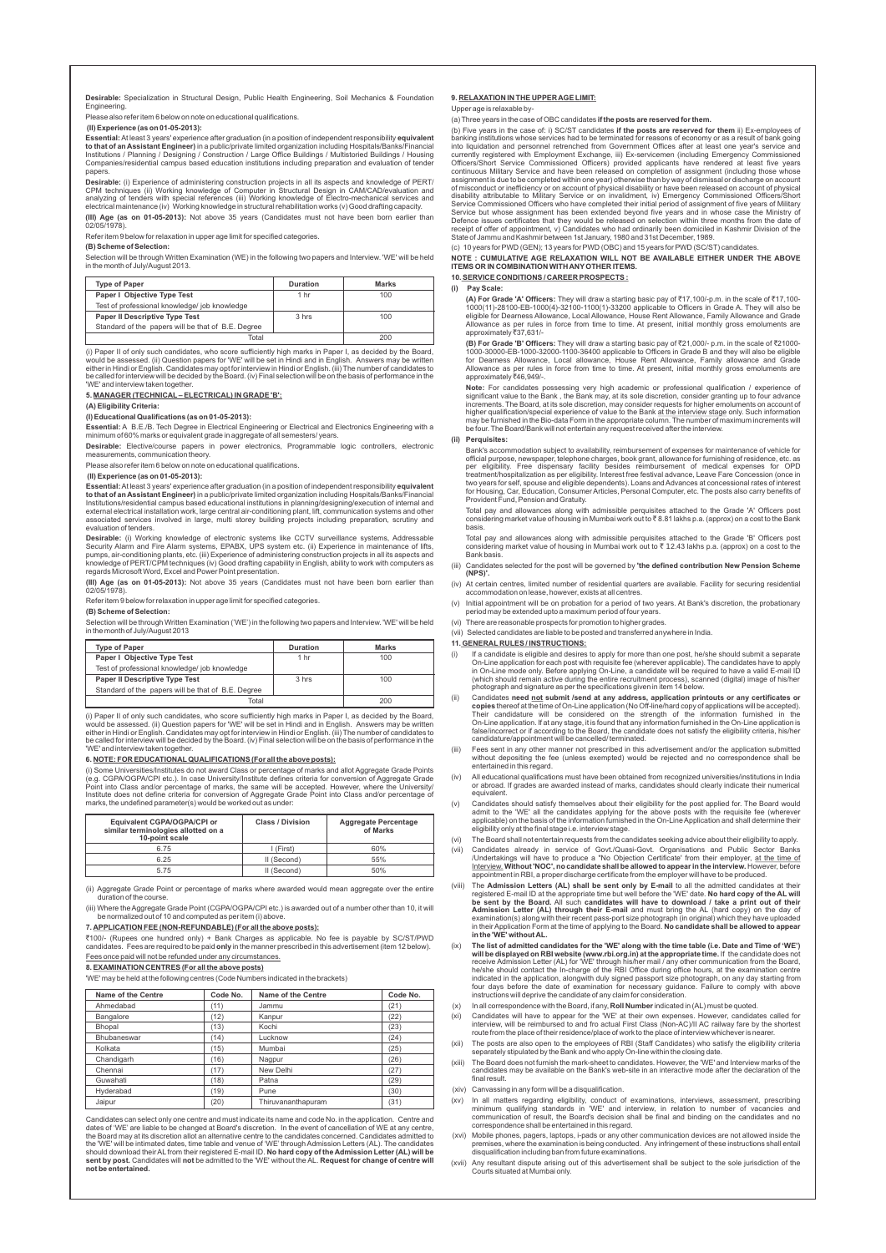**Desirable:** Specialization in Structural Design, Public Health Engineering, Soil Mechanics & Foundation **Engineering** 

Please also refer item 6 below on note on educational qualifications.

**(II) Experience (as on 01-05-2013):**

**Essential:**At least 3 years' experience after graduation (in a position of independent responsibility **equivalent to that of an Assistant Engineer)** in a public/private limited organization including Hospitals/Banks/Financial<br>Institutions / Planning / Designing / Construction / Large Office Buildings / Multistoried Buildings / Housin Companies/residential campus based education institutions including preparation and evaluation of tender papers.

**(III) Age (as on 01-05-2013):** Not above 35 years (Candidates must not have been born earlier than  $02/05/1978$ 

(i) Paper II of only such candidates, who score sufficiently high marks in Paper I, as decided by the Board, would be assessed. (ii) Question papers for 'WE' will be set in Hindi and in English. Answers may be written either in Hindi or English. Candidates may opt for interview in Hindi or English. (iii) The number of candidates to<br>be called for interview will be decided by the Board. (iv) Final selection will be on the basis of perform 'WE' and interview taken together

**Desirable:** (i) Experience of administering construction projects in all its aspects and knowledge of PERT/ CPM techniques (ii) Working knowledge of Computer in Structural Design in CAM/CAD/evaluation and analyzing of tenders with special references (iii) Working knowledge of Electro-mechanical services and electrical maintenance (iv) Working knowledge in structural rehabilitation works (v) Good drafting capacity.

Refer item 9 below for relaxation in upper age limit for specified categories.

#### **(B) Scheme of Selection:**

Selection will be through Written Examination (WE) in the following two papers and Interview. 'WE' will be held in the month of July/August 2013.

| <b>Type of Paper</b>                               | <b>Duration</b> | Marks |
|----------------------------------------------------|-----------------|-------|
| <b>Paper I Objective Type Test</b>                 | 1 hr            | 100   |
| Test of professional knowledge/ job knowledge      |                 |       |
| <b>Paper II Descriptive Type Test</b>              | 3 hrs           | 100   |
| Standard of the papers will be that of B.E. Degree |                 |       |
| Total                                              |                 | 200   |

**Desirable:** (i) Working knowledge of electronic systems like CCTV surveillance systems, Addressable<br>Security Alarm and Fire Alarm systems, EPABX, UPS system etc. (ii) Experience in maintenance of lifts, pumps, air-conditioning plants, etc. (iii) Experience of administering construction projects in all its aspects and knowledge of PERT/CPM techniques (iv) Good drafting capability in English, ability to work with computers as regards Microsoft Word, Excel and Power Point presentation.

# **5. MANAGER (TECHNICAL– ELECTRICAL) IN GRADE 'B':**

**(A) Eligibility Criteria:**

# **(I) Educational Qualifications (as on 01-05-2013):**

**Essential:** A B.E./B. Tech Degree in Electrical Engineering or Electrical and Electronics Engineering with a minimum of 60% marks or equivalent grade in aggregate of all semesters/ years.

**Desirable:** Elective/course papers in power electronics, Programmable logic controllers, electronic measurements, communication theory.

Please also refer item 6 below on note on educational qualifications.

# **(II) Experience (as on 01-05-2013):**

`100/- (Rupees one hundred only) + Bank Charges as applicable. No fee is payable by SC/ST/PWD tes. Fees are required to be paid **only** in the manner prescribed in this advertisement (item 12 below).

**Essential:**At least 3 years' experience after graduation (in a position of independent responsibility **equivalent to that of an Assistant Engineer)** in a public/private limited organization including Hospitals/Banks/Financial Institutions/residential campus based educational institutions in planning/designing/execution of internal and external electrical installation work, large central air-conditioning plant, lift, communication systems and other associated services involved in large, multi storey building projects including preparation, scrutiny and evaluation of tenders.

**(III) Age (as on 01-05-2013):** Not above 35 years (Candidates must not have been born earlier than 02/05/1978).

Refer item 9 below for relaxation in upper age limit for specified categories.

#### **(B) Scheme of Selection:**

Selection will be through Written Examination ('WE') in the following two papers and Interview. 'WE' will be held in the month of July/August 2013

| <b>Type of Paper</b>                               | <b>Duration</b> | Marks |
|----------------------------------------------------|-----------------|-------|
| <b>Paper I Objective Type Test</b>                 | 1 hr            | 100   |
| Test of professional knowledge/ job knowledge      |                 |       |
| <b>Paper II Descriptive Type Test</b>              | 3 hrs           | 100   |
| Standard of the papers will be that of B.E. Degree |                 |       |
| Total                                              |                 | 200   |

(i) Paper II of only such candidates, who score sufficiently high marks in Paper I, as decided by the Board, would be assessed. (ii) Question papers for 'WE' will be set in Hindi and in English. Answers may be written either in Hindi or English. Candidates may opt for interview in Hindi or English. (iii) The number of candidates to be called for interview will be decided by the Board. (iv) Final selection will be on the basis of performance in the 'WE' and interview taken together.

## **6. NOTE: FOR EDUCATIONALQUALIFICATIONS (For all the above posts):**

(i) Some Universities/Institutes do not award Class or percentage of marks and allot Aggregate Grade Points (e.g. CGPA/OGPA/CPI etc.). In case University/Institute defines criteria for conversion of Aggregate Grade Point into Class and/or percentage of marks, the same will be accepted. However, where the University/ Institute does not define criteria for conversion of Aggregate Grade Point into Class and/or percentage of marks, the undefined parameter(s) would be worked out as under:

**Note:** For candidates possessing very high academic or professional qualification / experience of<br>significant value to the Bank , the Bank may, at its sole discretion, consider granting up to four advance<br>increments. The higher qualification/special experience of value to the Bank at the interview stage only. Such information may be furnished in the Bio-data Form in the appropriate column. The number of maximum increments will be four. The Board/Bank will not entertain any request received after the interview.

| Equivalent CGPA/OGPA/CPI or<br>similar terminologies allotted on a<br>10-point scale | <b>Class / Division</b> | <b>Aggregate Percentage</b><br>of Marks |
|--------------------------------------------------------------------------------------|-------------------------|-----------------------------------------|
| 6.75                                                                                 | I (First)               | 60%                                     |
| 6.25                                                                                 | II (Second)             | 55%                                     |
| 5.75                                                                                 | II (Second)             | 50%                                     |

(ii) Aggregate Grade Point or percentage of marks where awarded would mean aggregate over the entire duration of the course.

(iii) Where the Aggregate Grade Point (CGPA/OGPA/CPI etc.) is awarded out of a number other than 10, it will be normalized out of 10 and computed as per item (i) above.

Total pay and allowances along with admissible perquisites attached to the Grade 'B' Officers post<br>considering market value of housing in Mumbai work out to ₹ 12.43 lakhs p.a. (approx) on a cost to the Bank basis.

# **7. APPLICATION FEE (NON-REFUNDABLE) (For all the above posts):**

Fees once paid will not be refunded under any circumstances.

## **8. EXAMINATION CENTRES (For all the above posts)**

'WE' may be held at the following centres (Code Numbers indicated in the brackets)

| <b>Name of the Centre</b> | Code No. | <b>Name of the Centre</b> | Code No. |
|---------------------------|----------|---------------------------|----------|
| Ahmedabad                 | (11)     | Jammu                     | (21)     |
| Bangalore                 | (12)     | Kanpur                    | (22)     |
| Bhopal                    | (13)     | Kochi                     | (23)     |
| <b>Bhubaneswar</b>        | (14)     | Lucknow                   | (24)     |
| Kolkata                   | (15)     | Mumbai                    | (25)     |
| Chandigarh                | (16)     | Nagpur                    | (26)     |
| Chennai                   | (17)     | New Delhi                 | (27)     |
| Guwahati                  | (18)     | Patna                     | (29)     |
| Hyderabad                 | (19)     | Pune                      | (30)     |
| Jaipur                    | (20)     | Thiruvananthapuram        | (31)     |

Candidates can select only one centre and must indicate its name and code No. in the application. Centre and dates of 'WE' are liable to be changed at Board's discretion. In the event of cancellation of WE at any centre, the Board may at its discretion allot an alternative centre to the candidates concerned. Candidates admitted to the 'WE' will be intimated dates, time table and venue of 'WE' through Admission Letters (AL). The candidates<br>should download their AL from their registered E-mail ID. **No hard copy of the Admission Letter (AL) will be sent by post.** Candidates will **not** be admitted to the 'WE' without the AL. **Request for change of centre will not be entertained.**

# **9. RELAXATION IN THE UPPER AGE LIMIT:**

#### Upper age is relaxable by-

(a) Three years in the case of OBC candidates **if the posts are reserved for them.**

- i) If a candidate is eligible and desires to apply for more than one post, he/she should submit a separate<br>On-Line application for each post with requisite fee (wherever applicable). The candidates have to apply<br>in On-Line (which should remain active during the entire recruitment process), scanned (digital) image of his/her photograph and signature as per the specifications given in item 14 below.
- (ii) Candidates **need not submit /send at any address, application printouts or any certificates or copies** thereof at the time of On-Line application (No Off-line/hard copy of applications will be accepted). Their candidature will be considered on the strength of the information furnished in the On-Line application. If at any stage, it is found that any information furnished in the On-Line application is false/incorrect or if according to the Board, the candidate does not satisfy the eligibility criteria, his/her candidature/appointment will be cancelled/ terminated.
- (iii) Fees sent in any other manner not prescribed in this advertisement and/or the application submitted without depositing the fee (unless exempted) would be rejected and no correspondence shall be entertained in this regard.
- (iv) All educational qualifications must have been obtained from recognized universities/institutions in India or abroad. If grades are awarded instead of marks, candidates should clearly indicate their numerical equivalent.
- (v) Candidates should satisfy themselves about their eligibility for the post applied for. The Board would admit to the 'WE' all the candidates applying for the above posts with the requisite fee (wherever applicable) on the basis of the information furnished in the On-Line Application and shall determine their eligibility only at the final stage i.e. interview stage.
- (vi) The Board shall not entertain requests from the candidates seeking advice about their eligibility to apply.
- (vii) Candidates already in service of Govt./Quasi-Govt. Organisations and Public Sector Banks<br>//Undertakings will have to produce a "No Objection Certificate' from their employer, at the time of <u>Interview.</u> **Without 'NOC', no candidate shall be allowed to appear in the interview.** However, before<br>appointment in RBI, a proper discharge certificate from the employer will have to be produced.
- (viii) The Admission Letters (AL) shall be sent only by E-mail to all the admitted candidates at their<br>registered E-mail ID at the appropriate time but well before the 'WE' date. No hard copy of the AL will **be sent by the Board.** All such **candidates will have to download / take a print out of their Admission Letter (AL) through their E-mail** and must bring the AL (hard copy) on the day of examination(s) along with their recent pass-port size photograph (in original) which they have uploaded in their Application Form at the time of applying to the Board. **No candidate shall be allowed to appear in the 'WE' without AL.**
- (ix) **The list of admitted candidates for the 'WE' along with the time table (i.e. Date and Time of 'WE') will be displayed on RBI website (www.rbi.org.in) at the appropriate time.** If the candidate does not receive Admission Letter (AL) for 'WE' through his/her mail / any other communication from the Board, he/she should contact the In-charge of the RBI Office during office hours, at the examination centre indicated in the application, alongwith duly signed passport size photograph, on any day starting from four days before the date of examination for necessary guidance. Failure to comply with above instructions will deprive the candidate of any claim for consideration.

(b) Five years in the case of: i) SC/ST candidates **if the posts are reserved for them** ii) Ex-employees of banking institutions whose services had to be terminated for reasons of economy or as a result of bank going into liquidation and personnel retrenched from Government Offices after at least one year's service and currently registered with Employment Exchange, iii) Ex-servicemen (including Emergency Commissioned Officers/Short Service Commissioned Officers) provided applicants have rendered at least five years continuous Military Service and have been released on completion of assignment (including those whose assignment is due to be completed within one year) otherwise than by way of dismissal or discharge on account of misconduct or inefficiency or on account of physical disability or have been released on account of physical disability attributable to Military Service or on invalidment, iv) Emergency Commissioned Officers/Short Service Commissioned Officers who have completed their initial period of assignment of five years of Military Service but whose assignment has been extended beyond five years and in whose case the Ministry of Defence issues certificates that they would be released on selection within three months from the date of receipt of offer of appointment, v) Candidates who had ordinarily been domiciled in Kashmir Division of the State of Jammu and Kashmir between 1st January, 1980 and 31st December, 1989.

(c) 10 years for PWD (GEN); 13 years for PWD (OBC) and 15 years for PWD (SC/ST) candidates.

## **NOTE : CUMULATIVE AGE RELAXATION WILL NOT BE AVAILABLE EITHER UNDER THE ABOVE ITEMS OR IN COMBINATION WITH ANYOTHER ITEMS.**

**10. SERVICE CONDITIONS / CAREER PROSPECTS :**

#### **(i) Pay Scale:**

**(A) For Grade 'A' Officers:** They will draw a starting basic pay of ₹17,100/-p.m. in the scale of ₹17,100-<br>1000(11)-28100-EB-1000(4)-32100-1100(1)-33200 applicable to Officers in Grade A. They will also be eligible for Dearness Allowance, Local Allowance, House Rent Allowance, Family Allowance and Grade Allowance as per rules in force from time to time. At present, initial monthly gross emoluments are approximately ₹37,631/-

**(B) For Grade 'B' Officers:** They will draw a starting basic pay of ₹21,000/- p.m. in the scale of ₹21000-<br>1000-30000-EB-1000-32000-1100-36400 applicable to Officers in Grade B and they will also be eligible<br>for Dearnes Allowance as per rules in force from time to time. At present, initial monthly gross emoluments are approximately ₹46,949/-.

#### **(ii) Perquisites:**

Bank's accommodation subject to availability, reimbursement of expenses for maintenance of vehicle for official purpose, newspaper, telephone charges, book grant, allowance for furnishing of residence, etc. as per eligibility. Free dispensary facility besides reimbursement of medical expenses for OPD treatment/hospitalization as per eligibility. Interest free festival advance, Leave Fare Concession (once in two years for self, spouse and eligible dependents). Loans and Advances at concessional rates of interest for Housing, Car, Education, Consumer Articles, Personal Computer, etc. The posts also carry benefits of Provident Fund, Pension and Gratuity.

Total pay and allowances along with admissible perquisites attached to the Grade 'A' Officers post considering market value of housing in Mumbai work out to ₹8.81 lakhs p.a. (approx) on a cost to the Bank basis.

- (iii) Candidates selected for the post will be governed by **'the defined contribution New Pension Scheme (NPS)'.**
- (iv) At certain centres, limited number of residential quarters are available. Facility for securing residential accommodation on lease, however, exists at all centres.
- (v) Initial appointment will be on probation for a period of two years. At Bank's discretion, the probationary period may be extended upto a maximum period of four years.
- (vi) There are reasonable prospects for promotion to higher grades.

(vii) Selected candidates are liable to be posted and transferred anywhere in India.

## **11. GENERAL RULES / INSTRUCTIONS:**

- (x) In all correspondence with the Board, if any, **Roll Number**indicated in (AL) must be quoted.
- (xi) Candidates will have to appear for the 'WE' at their own expenses. However, candidates called for interview, will be reimbursed to and fro actual First Class (Non-AC)/II AC railway fare by the shortest route from the place of their residence/place of work to the place of interview whichever is nearer.
- (xii) The posts are also open to the employees of RBI (Staff Candidates) who satisfy the eligibility criteria separately stipulated by the Bank and who apply On-line within the closing date.
- (xiii) The Board does not furnish the mark-sheet to candidates. However, the 'WE' and Interview marks of the candidates may be available on the Bank's web-site in an interactive mode after the declaration of the final result
- (xiv) Canvassing in any form will be a disqualification.
- (xv) In all matters regarding eligibility, conduct of examinations, interviews, assessment, prescribing minimum qualifying standards in 'WE' and interview, in relation to number of vacancies and communication of result, the Board's decision shall be final and binding on the candidates and no correspondence shall be entertained in this regard.
- (xvi) Mobile phones, pagers, laptops, i-pads or any other communication devices are not allowed inside the premises, where the examination is being conducted. Any infringement of these instructions shall entail disqualification including ban from future examinations.
- (xvii) Any resultant dispute arising out of this advertisement shall be subject to the sole jurisdiction of the Courts situated at Mumbai only.